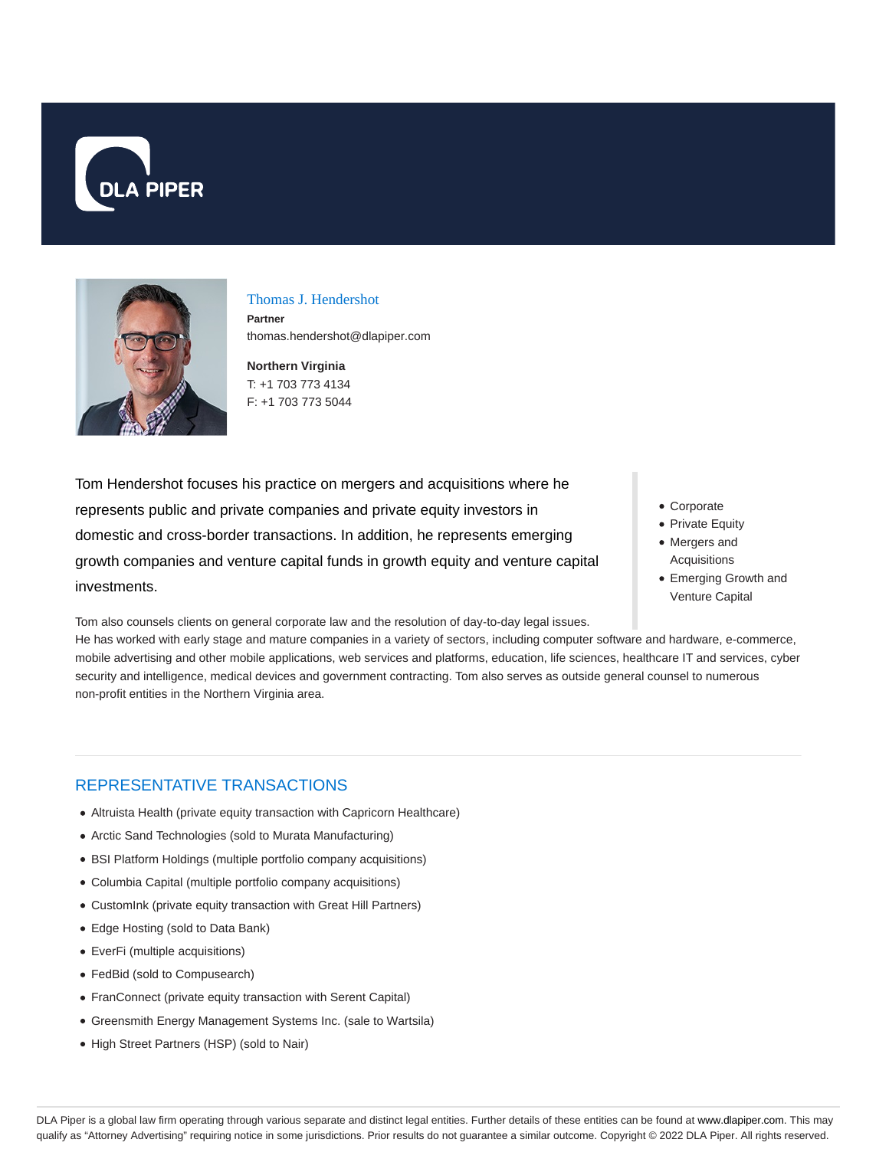



Thomas J. Hendershot **Partner** thomas.hendershot@dlapiper.com

**Northern Virginia** T: +1 703 773 4134 F: +1 703 773 5044

Tom Hendershot focuses his practice on mergers and acquisitions where he represents public and private companies and private equity investors in domestic and cross-border transactions. In addition, he represents emerging growth companies and venture capital funds in growth equity and venture capital investments.

Tom also counsels clients on general corporate law and the resolution of day-to-day legal issues.

He has worked with early stage and mature companies in a variety of sectors, including computer software and hardware, e-commerce, mobile advertising and other mobile applications, web services and platforms, education, life sciences, healthcare IT and services, cyber security and intelligence, medical devices and government contracting. Tom also serves as outside general counsel to numerous non-profit entities in the Northern Virginia area.

# REPRESENTATIVE TRANSACTIONS

- Altruista Health (private equity transaction with Capricorn Healthcare)
- Arctic Sand Technologies (sold to Murata Manufacturing)
- BSI Platform Holdings (multiple portfolio company acquisitions)
- Columbia Capital (multiple portfolio company acquisitions)
- CustomInk (private equity transaction with Great Hill Partners)
- Edge Hosting (sold to Data Bank)
- EverFi (multiple acquisitions)
- FedBid (sold to Compusearch)
- FranConnect (private equity transaction with Serent Capital)
- Greensmith Energy Management Systems Inc. (sale to Wartsila)
- High Street Partners (HSP) (sold to Nair)
- Corporate
- Private Equity Mergers and
- Acquisitions
- Emerging Growth and Venture Capital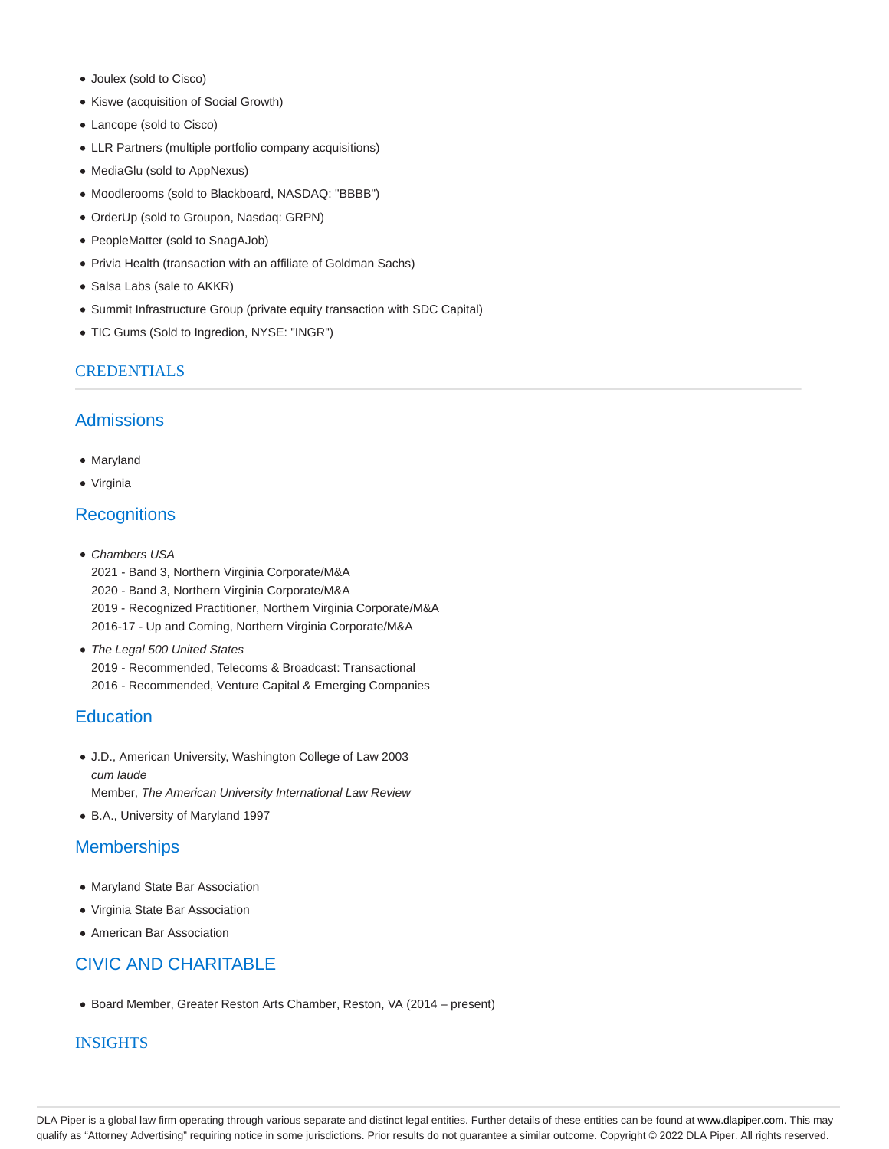- Joulex (sold to Cisco)
- Kiswe (acquisition of Social Growth)
- Lancope (sold to Cisco)
- LLR Partners (multiple portfolio company acquisitions)
- MediaGlu (sold to AppNexus)
- Moodlerooms (sold to Blackboard, NASDAQ: "BBBB")
- OrderUp (sold to Groupon, Nasdaq: GRPN)
- PeopleMatter (sold to SnagAJob)
- Privia Health (transaction with an affiliate of Goldman Sachs)
- Salsa Labs (sale to AKKR)
- Summit Infrastructure Group (private equity transaction with SDC Capital)
- TIC Gums (Sold to Ingredion, NYSE: "INGR")

## **CREDENTIALS**

## **Admissions**

- Maryland
- Virginia

# **Recognitions**

- Chambers USA 2021 - Band 3, Northern Virginia Corporate/M&A 2020 - Band 3, Northern Virginia Corporate/M&A 2019 - Recognized Practitioner, Northern Virginia Corporate/M&A 2016-17 - Up and Coming, Northern Virginia Corporate/M&A
- The Legal 500 United States 2019 - Recommended, Telecoms & Broadcast: Transactional 2016 - Recommended, Venture Capital & Emerging Companies

# **Education**

- J.D., American University, Washington College of Law 2003 cum laude Member, The American University International Law Review
- B.A., University of Maryland 1997

## **Memberships**

- Maryland State Bar Association
- Virginia State Bar Association
- American Bar Association

# CIVIC AND CHARITABLE

Board Member, Greater Reston Arts Chamber, Reston, VA (2014 – present)

### **INSIGHTS**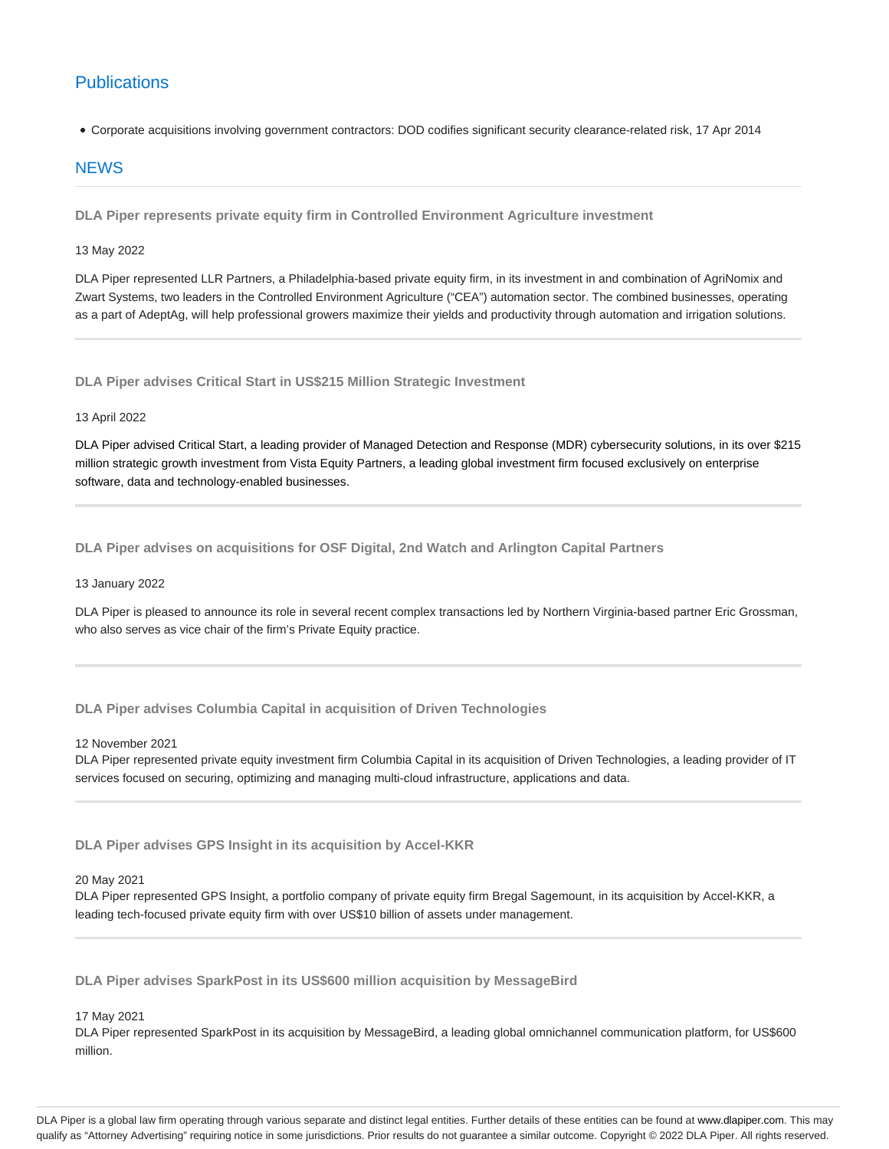# **Publications**

Corporate acquisitions involving government contractors: DOD codifies significant security clearance-related risk, 17 Apr 2014

### **NEWS**

**DLA Piper represents private equity firm in Controlled Environment Agriculture investment**

13 May 2022

DLA Piper represented LLR Partners, a Philadelphia-based private equity firm, in its investment in and combination of AgriNomix and Zwart Systems, two leaders in the Controlled Environment Agriculture ("CEA") automation sector. The combined businesses, operating as a part of AdeptAg, will help professional growers maximize their yields and productivity through automation and irrigation solutions.

**DLA Piper advises Critical Start in US\$215 Million Strategic Investment**

### 13 April 2022

DLA Piper advised Critical Start, a leading provider of Managed Detection and Response (MDR) cybersecurity solutions, in its over \$215 million strategic growth investment from Vista Equity Partners, a leading global investment firm focused exclusively on enterprise software, data and technology-enabled businesses.

**DLA Piper advises on acquisitions for OSF Digital, 2nd Watch and Arlington Capital Partners**

### 13 January 2022

DLA Piper is pleased to announce its role in several recent complex transactions led by Northern Virginia-based partner Eric Grossman, who also serves as vice chair of the firm's Private Equity practice.

**DLA Piper advises Columbia Capital in acquisition of Driven Technologies**

### 12 November 2021

DLA Piper represented private equity investment firm Columbia Capital in its acquisition of Driven Technologies, a leading provider of IT services focused on securing, optimizing and managing multi-cloud infrastructure, applications and data.

**DLA Piper advises GPS Insight in its acquisition by Accel-KKR**

20 May 2021

DLA Piper represented GPS Insight, a portfolio company of private equity firm Bregal Sagemount, in its acquisition by Accel-KKR, a leading tech-focused private equity firm with over US\$10 billion of assets under management.

**DLA Piper advises SparkPost in its US\$600 million acquisition by MessageBird**

### 17 May 2021

DLA Piper represented SparkPost in its acquisition by MessageBird, a leading global omnichannel communication platform, for US\$600 million.

DLA Piper is a global law firm operating through various separate and distinct legal entities. Further details of these entities can be found at www.dlapiper.com. This may qualify as "Attorney Advertising" requiring notice in some jurisdictions. Prior results do not guarantee a similar outcome. Copyright © 2022 DLA Piper. All rights reserved.